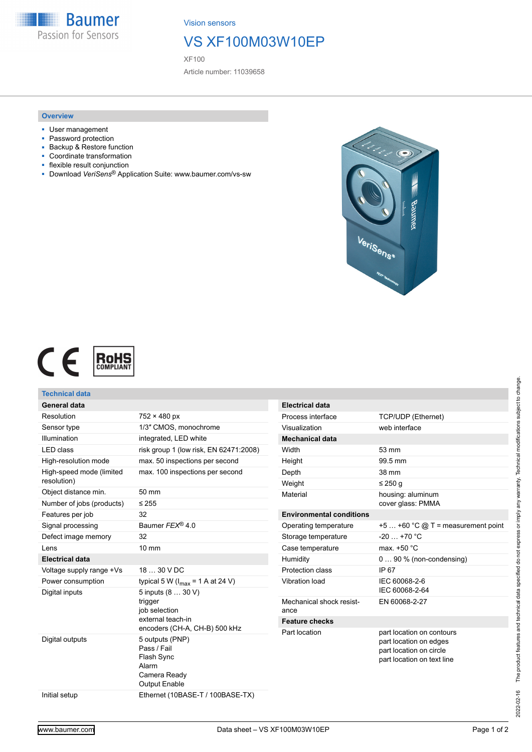**Baumer** Passion for Sensors

Vision sensors

## VS XF100M03W10EP

XF100

Article number: 11039658

### **Overview**

- User management
- Password protection
- Backup & Restore function
- Coordinate transformation
- flexible result conjunction
- Download *VeriSens*® Application Suite: www.baumer.com/vs-sw





| Technical data            |                                                                                        |                                 |                                                                                                              |
|---------------------------|----------------------------------------------------------------------------------------|---------------------------------|--------------------------------------------------------------------------------------------------------------|
| <b>General data</b>       |                                                                                        | <b>Electrical data</b>          |                                                                                                              |
| Resolution                | $752 \times 480$ px                                                                    | Process interface               | TCP/UDP (Ethernet)                                                                                           |
| Sensor type               | 1/3" CMOS, monochrome                                                                  | Visualization                   | web interface                                                                                                |
| Illumination              | integrated, LED white                                                                  | <b>Mechanical data</b>          |                                                                                                              |
| <b>LED</b> class          | risk group 1 (low risk, EN 62471:2008)                                                 | Width                           | 53 mm                                                                                                        |
| High-resolution mode      | max. 50 inspections per second                                                         | Height                          | 99.5 mm                                                                                                      |
| High-speed mode (limited  | max. 100 inspections per second                                                        | Depth                           | 38 mm                                                                                                        |
| resolution)               |                                                                                        | Weight                          | ≤ 250 g                                                                                                      |
| Object distance min.      | 50 mm                                                                                  | Material                        | housing: aluminum                                                                                            |
| Number of jobs (products) | $\leq 255$                                                                             |                                 | cover glass: PMMA                                                                                            |
| Features per job          | 32                                                                                     | <b>Environmental conditions</b> |                                                                                                              |
| Signal processing         | Baumer FEX <sup>®</sup> 4.0                                                            | Operating temperature           | $+5+60$ °C @ T = measurement point                                                                           |
| Defect image memory       | 32                                                                                     | Storage temperature             | $-20$ +70 °C                                                                                                 |
| Lens                      | $10 \text{ mm}$                                                                        | Case temperature                | max. +50 °C                                                                                                  |
| <b>Electrical data</b>    |                                                                                        | Humidity                        | $090\%$ (non-condensing)                                                                                     |
| Voltage supply range +Vs  | 18  30 V DC                                                                            | Protection class                | IP 67                                                                                                        |
| Power consumption         | typical 5 W ( $I_{max}$ = 1 A at 24 V)                                                 | Vibration load                  | IEC 60068-2-6                                                                                                |
| Digital inputs            | 5 inputs (8  30 V)                                                                     |                                 | IEC 60068-2-64                                                                                               |
|                           | trigger<br>job selection<br>external teach-in<br>encoders (CH-A, CH-B) 500 kHz         | Mechanical shock resist-        | EN 60068-2-27                                                                                                |
|                           |                                                                                        | ance                            |                                                                                                              |
|                           |                                                                                        | <b>Feature checks</b>           |                                                                                                              |
| Digital outputs           | 5 outputs (PNP)<br>Pass / Fail<br>Flash Sync<br>Alarm<br>Camera Ready<br>Output Enable | Part location                   | part location on contours<br>part location on edges<br>part location on circle<br>part location on text line |
| Initial setup             | Ethernet (10BASE-T / 100BASE-TX)                                                       |                                 |                                                                                                              |